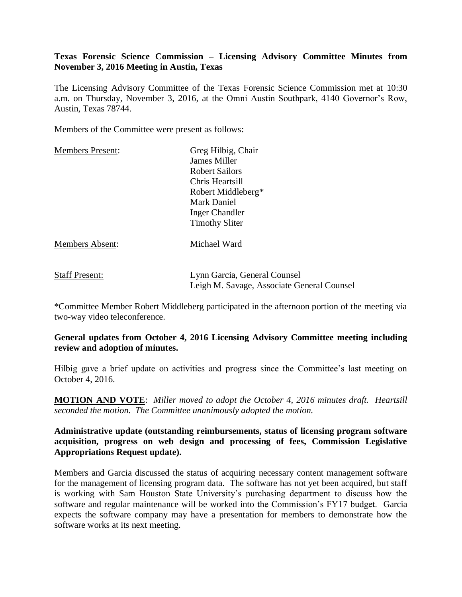# **Texas Forensic Science Commission – Licensing Advisory Committee Minutes from November 3, 2016 Meeting in Austin, Texas**

The Licensing Advisory Committee of the Texas Forensic Science Commission met at 10:30 a.m. on Thursday, November 3, 2016, at the Omni Austin Southpark, 4140 Governor's Row, Austin, Texas 78744.

Members of the Committee were present as follows:

| Greg Hilbig, Chair    |
|-----------------------|
| James Miller          |
| <b>Robert Sailors</b> |
| Chris Heartsill       |
| Robert Middleberg*    |
| Mark Daniel           |
| <b>Inger Chandler</b> |
| <b>Timothy Sliter</b> |
| Michael Ward          |
|                       |

| <b>Staff Present:</b> | Lynn Garcia, General Counsel               |
|-----------------------|--------------------------------------------|
|                       | Leigh M. Savage, Associate General Counsel |

\*Committee Member Robert Middleberg participated in the afternoon portion of the meeting via two-way video teleconference.

# **General updates from October 4, 2016 Licensing Advisory Committee meeting including review and adoption of minutes.**

Hilbig gave a brief update on activities and progress since the Committee's last meeting on October 4, 2016.

**MOTION AND VOTE**: *Miller moved to adopt the October 4, 2016 minutes draft. Heartsill seconded the motion. The Committee unanimously adopted the motion.*

**Administrative update (outstanding reimbursements, status of licensing program software acquisition, progress on web design and processing of fees, Commission Legislative Appropriations Request update).** 

Members and Garcia discussed the status of acquiring necessary content management software for the management of licensing program data. The software has not yet been acquired, but staff is working with Sam Houston State University's purchasing department to discuss how the software and regular maintenance will be worked into the Commission's FY17 budget. Garcia expects the software company may have a presentation for members to demonstrate how the software works at its next meeting.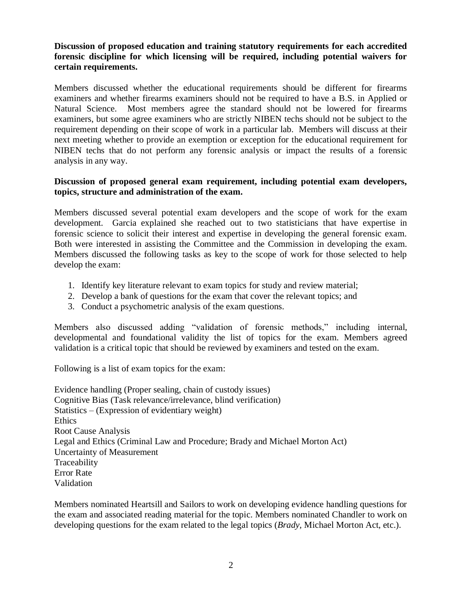# **Discussion of proposed education and training statutory requirements for each accredited forensic discipline for which licensing will be required, including potential waivers for certain requirements.**

Members discussed whether the educational requirements should be different for firearms examiners and whether firearms examiners should not be required to have a B.S. in Applied or Natural Science. Most members agree the standard should not be lowered for firearms examiners, but some agree examiners who are strictly NIBEN techs should not be subject to the requirement depending on their scope of work in a particular lab. Members will discuss at their next meeting whether to provide an exemption or exception for the educational requirement for NIBEN techs that do not perform any forensic analysis or impact the results of a forensic analysis in any way.

# **Discussion of proposed general exam requirement, including potential exam developers, topics, structure and administration of the exam.**

Members discussed several potential exam developers and the scope of work for the exam development. Garcia explained she reached out to two statisticians that have expertise in forensic science to solicit their interest and expertise in developing the general forensic exam. Both were interested in assisting the Committee and the Commission in developing the exam. Members discussed the following tasks as key to the scope of work for those selected to help develop the exam:

- 1. Identify key literature relevant to exam topics for study and review material;
- 2. Develop a bank of questions for the exam that cover the relevant topics; and
- 3. Conduct a psychometric analysis of the exam questions.

Members also discussed adding "validation of forensic methods," including internal, developmental and foundational validity the list of topics for the exam. Members agreed validation is a critical topic that should be reviewed by examiners and tested on the exam.

Following is a list of exam topics for the exam:

Evidence handling (Proper sealing, chain of custody issues) Cognitive Bias (Task relevance/irrelevance, blind verification) Statistics – (Expression of evidentiary weight) Ethics Root Cause Analysis Legal and Ethics (Criminal Law and Procedure; Brady and Michael Morton Act) Uncertainty of Measurement Traceability Error Rate Validation

Members nominated Heartsill and Sailors to work on developing evidence handling questions for the exam and associated reading material for the topic. Members nominated Chandler to work on developing questions for the exam related to the legal topics (*Brady,* Michael Morton Act, etc.).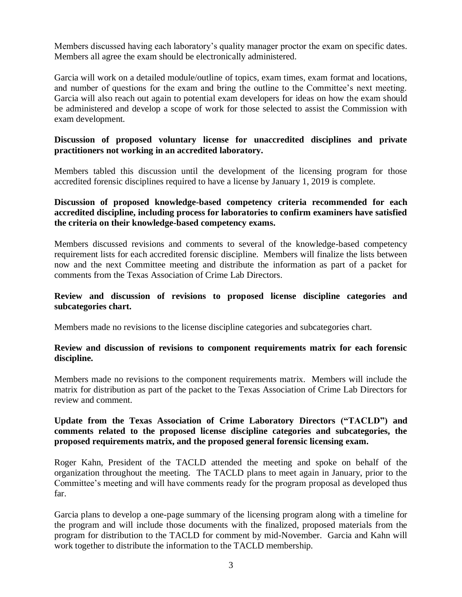Members discussed having each laboratory's quality manager proctor the exam on specific dates. Members all agree the exam should be electronically administered.

Garcia will work on a detailed module/outline of topics, exam times, exam format and locations, and number of questions for the exam and bring the outline to the Committee's next meeting. Garcia will also reach out again to potential exam developers for ideas on how the exam should be administered and develop a scope of work for those selected to assist the Commission with exam development.

## **Discussion of proposed voluntary license for unaccredited disciplines and private practitioners not working in an accredited laboratory.**

Members tabled this discussion until the development of the licensing program for those accredited forensic disciplines required to have a license by January 1, 2019 is complete.

# **Discussion of proposed knowledge-based competency criteria recommended for each accredited discipline, including process for laboratories to confirm examiners have satisfied the criteria on their knowledge-based competency exams.**

Members discussed revisions and comments to several of the knowledge-based competency requirement lists for each accredited forensic discipline. Members will finalize the lists between now and the next Committee meeting and distribute the information as part of a packet for comments from the Texas Association of Crime Lab Directors.

## **Review and discussion of revisions to proposed license discipline categories and subcategories chart.**

Members made no revisions to the license discipline categories and subcategories chart.

## **Review and discussion of revisions to component requirements matrix for each forensic discipline.**

Members made no revisions to the component requirements matrix. Members will include the matrix for distribution as part of the packet to the Texas Association of Crime Lab Directors for review and comment.

# **Update from the Texas Association of Crime Laboratory Directors ("TACLD") and comments related to the proposed license discipline categories and subcategories, the proposed requirements matrix, and the proposed general forensic licensing exam.**

Roger Kahn, President of the TACLD attended the meeting and spoke on behalf of the organization throughout the meeting. The TACLD plans to meet again in January, prior to the Committee's meeting and will have comments ready for the program proposal as developed thus far.

Garcia plans to develop a one-page summary of the licensing program along with a timeline for the program and will include those documents with the finalized, proposed materials from the program for distribution to the TACLD for comment by mid-November. Garcia and Kahn will work together to distribute the information to the TACLD membership.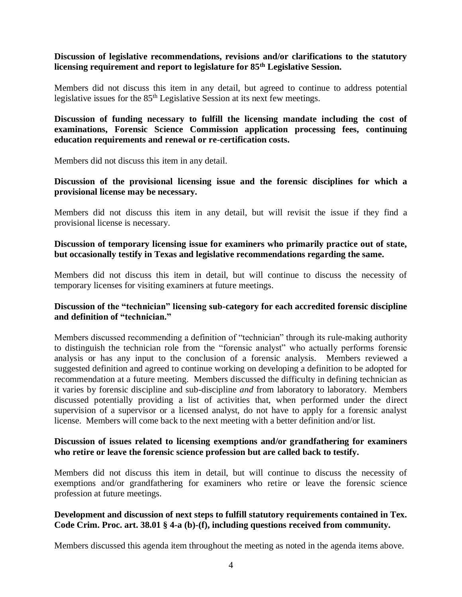# **Discussion of legislative recommendations, revisions and/or clarifications to the statutory licensing requirement and report to legislature for 85th Legislative Session.**

Members did not discuss this item in any detail, but agreed to continue to address potential legislative issues for the 85<sup>th</sup> Legislative Session at its next few meetings.

## **Discussion of funding necessary to fulfill the licensing mandate including the cost of examinations, Forensic Science Commission application processing fees, continuing education requirements and renewal or re-certification costs.**

Members did not discuss this item in any detail.

# **Discussion of the provisional licensing issue and the forensic disciplines for which a provisional license may be necessary.**

Members did not discuss this item in any detail, but will revisit the issue if they find a provisional license is necessary.

## **Discussion of temporary licensing issue for examiners who primarily practice out of state, but occasionally testify in Texas and legislative recommendations regarding the same.**

Members did not discuss this item in detail, but will continue to discuss the necessity of temporary licenses for visiting examiners at future meetings.

## **Discussion of the "technician" licensing sub-category for each accredited forensic discipline and definition of "technician."**

Members discussed recommending a definition of "technician" through its rule-making authority to distinguish the technician role from the "forensic analyst" who actually performs forensic analysis or has any input to the conclusion of a forensic analysis. Members reviewed a suggested definition and agreed to continue working on developing a definition to be adopted for recommendation at a future meeting. Members discussed the difficulty in defining technician as it varies by forensic discipline and sub-discipline *and* from laboratory to laboratory. Members discussed potentially providing a list of activities that, when performed under the direct supervision of a supervisor or a licensed analyst, do not have to apply for a forensic analyst license. Members will come back to the next meeting with a better definition and/or list.

## **Discussion of issues related to licensing exemptions and/or grandfathering for examiners who retire or leave the forensic science profession but are called back to testify.**

Members did not discuss this item in detail, but will continue to discuss the necessity of exemptions and/or grandfathering for examiners who retire or leave the forensic science profession at future meetings.

#### **Development and discussion of next steps to fulfill statutory requirements contained in Tex. Code Crim. Proc. art. 38.01 § 4-a (b)-(f), including questions received from community.**

Members discussed this agenda item throughout the meeting as noted in the agenda items above.